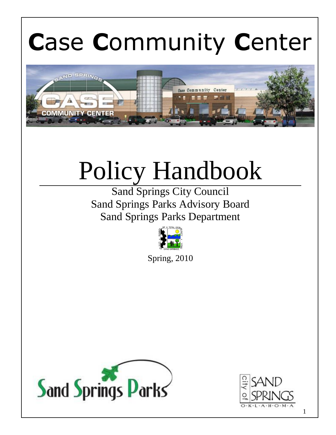# **C**ase **C**ommunity **C**enter



# Policy Handbook

Sand Springs City Council Sand Springs Parks Advisory Board Sand Springs Parks Department



Spring, 2010



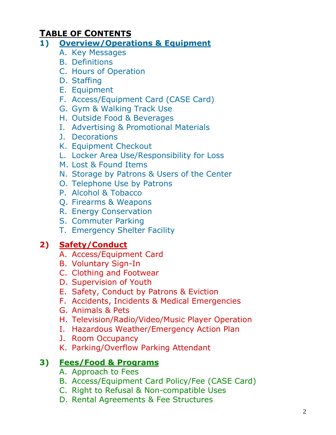## **TABLE OF CONTENTS**

#### **1) Overview/Operations & Equipment**

- A. Key Messages
- B. Definitions
- C. Hours of Operation
- D. Staffing
- E. Equipment
- F. Access/Equipment Card (CASE Card)
- G. Gym & Walking Track Use
- H. Outside Food & Beverages
- I. Advertising & Promotional Materials
- J. Decorations
- K. Equipment Checkout
- L. Locker Area Use/Responsibility for Loss
- M. Lost & Found Items
- N. Storage by Patrons & Users of the Center
- O. Telephone Use by Patrons
- P. Alcohol & Tobacco
- Q. Firearms & Weapons
- R. Energy Conservation
- S. Commuter Parking
- T. Emergency Shelter Facility

## **2) Safety/Conduct**

- A. Access/Equipment Card
- B. Voluntary Sign-In
- C. Clothing and Footwear
- D. Supervision of Youth
- E. Safety, Conduct by Patrons & Eviction
- F. Accidents, Incidents & Medical Emergencies
- G. Animals & Pets
- H. Television/Radio/Video/Music Player Operation
- I. Hazardous Weather/Emergency Action Plan
- J. Room Occupancy
- K. Parking/Overflow Parking Attendant

## **3) Fees/Food & Programs**

- A. Approach to Fees
- B. Access/Equipment Card Policy/Fee (CASE Card)
- C. Right to Refusal & Non-compatible Uses
- D. Rental Agreements & Fee Structures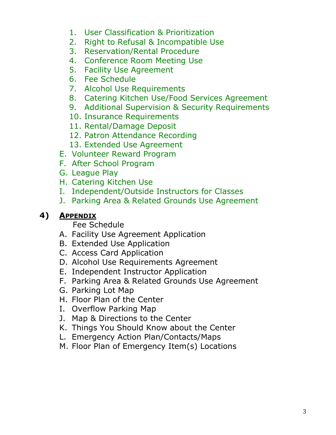- 1. User Classification & Prioritization
- 2. Right to Refusal & Incompatible Use
- 3. Reservation/Rental Procedure
- 4. Conference Room Meeting Use
- 5. Facility Use Agreement
- 6. Fee Schedule
- 7. Alcohol Use Requirements
- 8. Catering Kitchen Use/Food Services Agreement
- 9. Additional Supervision & Security Requirements
- 10. Insurance Requirements
- 11. Rental/Damage Deposit
- 12. Patron Attendance Recording
- 13. Extended Use Agreement
- E. Volunteer Reward Program
- F. After School Program
- G. League Play
- H. Catering Kitchen Use
- I. Independent/Outside Instructors for Classes
- J. Parking Area & Related Grounds Use Agreement

#### **4) APPENDIX**

Fee Schedule

- A. Facility Use Agreement Application
- B. Extended Use Application
- C. Access Card Application
- D. Alcohol Use Requirements Agreement
- E. Independent Instructor Application
- F. Parking Area & Related Grounds Use Agreement
- G. Parking Lot Map
- H. Floor Plan of the Center
- I. Overflow Parking Map
- J. Map & Directions to the Center
- K. Things You Should Know about the Center
- L. Emergency Action Plan/Contacts/Maps
- M. Floor Plan of Emergency Item(s) Locations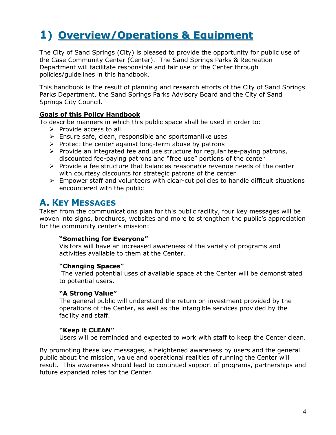# **1) Overview/Operations & Equipment**

The City of Sand Springs (City) is pleased to provide the opportunity for public use of the Case Community Center (Center). The Sand Springs Parks & Recreation Department will facilitate responsible and fair use of the Center through policies/guidelines in this handbook.

This handbook is the result of planning and research efforts of the City of Sand Springs Parks Department, the Sand Springs Parks Advisory Board and the City of Sand Springs City Council.

#### **Goals of this Policy Handbook**

To describe manners in which this public space shall be used in order to:

- $\triangleright$  Provide access to all
- $\triangleright$  Ensure safe, clean, responsible and sportsmanlike uses
- $\triangleright$  Protect the center against long-term abuse by patrons
- $\triangleright$  Provide an integrated fee and use structure for regular fee-paying patrons, discounted fee-paying patrons and "free use" portions of the center
- $\triangleright$  Provide a fee structure that balances reasonable revenue needs of the center with courtesy discounts for strategic patrons of the center
- $\triangleright$  Empower staff and volunteers with clear-cut policies to handle difficult situations encountered with the public

#### **A. KEY MESSAGES**

Taken from the communications plan for this public facility, four key messages will be woven into signs, brochures, websites and more to strengthen the public's appreciation for the community center's mission:

#### **"Something for Everyone"**

Visitors will have an increased awareness of the variety of programs and activities available to them at the Center.

#### **"Changing Spaces"**

The varied potential uses of available space at the Center will be demonstrated to potential users.

#### **"A Strong Value"**

The general public will understand the return on investment provided by the operations of the Center, as well as the intangible services provided by the facility and staff.

#### **"Keep it CLEAN"**

Users will be reminded and expected to work with staff to keep the Center clean.

By promoting these key messages, a heightened awareness by users and the general public about the mission, value and operational realities of running the Center will result. This awareness should lead to continued support of programs, partnerships and future expanded roles for the Center.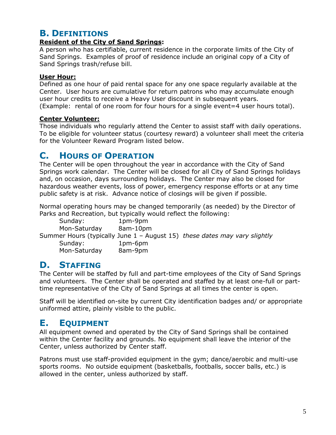## **B. DEFINITIONS**

#### **Resident of the City of Sand Springs:**

A person who has certifiable, current residence in the corporate limits of the City of Sand Springs. Examples of proof of residence include an original copy of a City of Sand Springs trash/refuse bill.

#### **User Hour:**

Defined as one hour of paid rental space for any one space regularly available at the Center. User hours are cumulative for return patrons who may accumulate enough user hour credits to receive a Heavy User discount in subsequent years. (Example: rental of one room for four hours for a single event=4 user hours total).

#### **Center Volunteer:**

Those individuals who regularly attend the Center to assist staff with daily operations. To be eligible for volunteer status (courtesy reward) a volunteer shall meet the criteria for the Volunteer Reward Program listed below.

#### **C. HOURS OF OPERATION**

The Center will be open throughout the year in accordance with the City of Sand Springs work calendar. The Center will be closed for all City of Sand Springs holidays and, on occasion, days surrounding holidays. The Center may also be closed for hazardous weather events, loss of power, emergency response efforts or at any time public safety is at risk. Advance notice of closings will be given if possible.

Normal operating hours may be changed temporarily (as needed) by the Director of Parks and Recreation, but typically would reflect the following:

| Sunday:                                                                   | 1pm-9pm  |  |
|---------------------------------------------------------------------------|----------|--|
| Mon-Saturday                                                              | 8am-10pm |  |
| Summer Hours (typically June 1 - August 15) these dates may vary slightly |          |  |
| Sunday:                                                                   | 1pm-6pm  |  |
| Mon-Saturday                                                              | 8am-9pm  |  |

## **D. STAFFING**

The Center will be staffed by full and part-time employees of the City of Sand Springs and volunteers. The Center shall be operated and staffed by at least one-full or parttime representative of the City of Sand Springs at all times the center is open.

Staff will be identified on-site by current City identification badges and/ or appropriate uniformed attire, plainly visible to the public.

## **E. EQUIPMENT**

All equipment owned and operated by the City of Sand Springs shall be contained within the Center facility and grounds. No equipment shall leave the interior of the Center, unless authorized by Center staff.

Patrons must use staff-provided equipment in the gym; dance/aerobic and multi-use sports rooms. No outside equipment (basketballs, footballs, soccer balls, etc.) is allowed in the center, unless authorized by staff.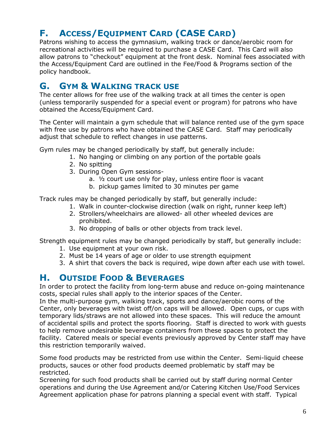## **F. ACCESS/EQUIPMENT CARD (CASE CARD)**

Patrons wishing to access the gymnasium, walking track or dance/aerobic room for recreational activities will be required to purchase a CASE Card. This Card will also allow patrons to "checkout" equipment at the front desk. Nominal fees associated with the Access/Equipment Card are outlined in the Fee/Food & Programs section of the policy handbook.

## **G. GYM & WALKING TRACK USE**

The center allows for free use of the walking track at all times the center is open (unless temporarily suspended for a special event or program) for patrons who have obtained the Access/Equipment Card.

The Center will maintain a gym schedule that will balance rented use of the gym space with free use by patrons who have obtained the CASE Card. Staff may periodically adjust that schedule to reflect changes in use patterns.

Gym rules may be changed periodically by staff, but generally include:

- 1. No hanging or climbing on any portion of the portable goals
- 2. No spitting
- 3. During Open Gym sessions
	- a. ½ court use only for play, unless entire floor is vacant
	- b. pickup games limited to 30 minutes per game

Track rules may be changed periodically by staff, but generally include:

- 1. Walk in counter-clockwise direction (walk on right, runner keep left)
- 2. Strollers/wheelchairs are allowed- all other wheeled devices are prohibited.
- 3. No dropping of balls or other objects from track level.

Strength equipment rules may be changed periodically by staff, but generally include:

- 1. Use equipment at your own risk.
- 2. Must be 14 years of age or older to use strength equipment
- 3. A shirt that covers the back is required, wipe down after each use with towel.

## **H. OUTSIDE FOOD & BEVERAGES**

In order to protect the facility from long-term abuse and reduce on-going maintenance costs, special rules shall apply to the interior spaces of the Center.

In the multi-purpose gym, walking track, sports and dance/aerobic rooms of the Center, only beverages with twist off/on caps will be allowed. Open cups, or cups with temporary lids/straws are not allowed into these spaces. This will reduce the amount of accidental spills and protect the sports flooring. Staff is directed to work with guests to help remove undesirable beverage containers from these spaces to protect the facility. Catered meals or special events previously approved by Center staff may have this restriction temporarily waived.

Some food products may be restricted from use within the Center. Semi-liquid cheese products, sauces or other food products deemed problematic by staff may be restricted.

Screening for such food products shall be carried out by staff during normal Center operations and during the Use Agreement and/or Catering Kitchen Use/Food Services Agreement application phase for patrons planning a special event with staff. Typical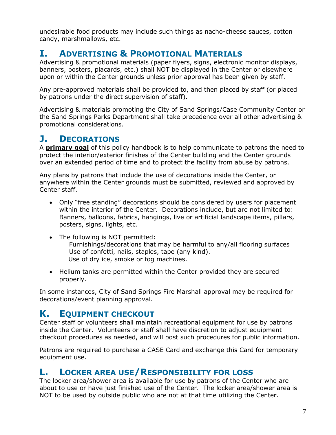undesirable food products may include such things as nacho-cheese sauces, cotton candy, marshmallows, etc.

#### **I. ADVERTISING & PROMOTIONAL MATERIALS**

Advertising & promotional materials (paper flyers, signs, electronic monitor displays, banners, posters, placards, etc.) shall NOT be displayed in the Center or elsewhere upon or within the Center grounds unless prior approval has been given by staff.

Any pre-approved materials shall be provided to, and then placed by staff (or placed by patrons under the direct supervision of staff).

Advertising & materials promoting the City of Sand Springs/Case Community Center or the Sand Springs Parks Department shall take precedence over all other advertising & promotional considerations.

## **J. DECORATIONS**

A **primary goal** of this policy handbook is to help communicate to patrons the need to protect the interior/exterior finishes of the Center building and the Center grounds over an extended period of time and to protect the facility from abuse by patrons.

Any plans by patrons that include the use of decorations inside the Center, or anywhere within the Center grounds must be submitted, reviewed and approved by Center staff.

- Only "free standing" decorations should be considered by users for placement within the interior of the Center. Decorations include, but are not limited to: Banners, balloons, fabrics, hangings, live or artificial landscape items, pillars, posters, signs, lights, etc.
- The following is NOT permitted: Furnishings/decorations that may be harmful to any/all flooring surfaces Use of confetti, nails, staples, tape (any kind). Use of dry ice, smoke or fog machines.
- Helium tanks are permitted within the Center provided they are secured properly.

In some instances, City of Sand Springs Fire Marshall approval may be required for decorations/event planning approval.

## **K. EQUIPMENT CHECKOUT**

Center staff or volunteers shall maintain recreational equipment for use by patrons inside the Center. Volunteers or staff shall have discretion to adjust equipment checkout procedures as needed, and will post such procedures for public information.

Patrons are required to purchase a CASE Card and exchange this Card for temporary equipment use.

#### **L. LOCKER AREA USE/RESPONSIBILITY FOR LOSS**

The locker area/shower area is available for use by patrons of the Center who are about to use or have just finished use of the Center. The locker area/shower area is NOT to be used by outside public who are not at that time utilizing the Center.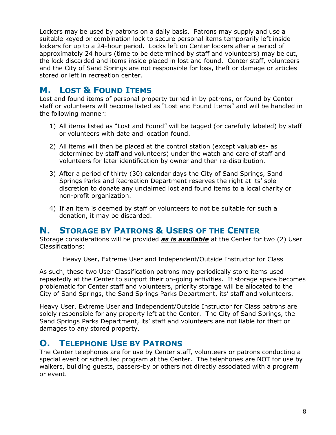Lockers may be used by patrons on a daily basis. Patrons may supply and use a suitable keyed or combination lock to secure personal items temporarily left inside lockers for up to a 24-hour period. Locks left on Center lockers after a period of approximately 24 hours (time to be determined by staff and volunteers) may be cut, the lock discarded and items inside placed in lost and found. Center staff, volunteers and the City of Sand Springs are not responsible for loss, theft or damage or articles stored or left in recreation center.

## **M. LOST & FOUND ITEMS**

Lost and found items of personal property turned in by patrons, or found by Center staff or volunteers will become listed as "Lost and Found Items" and will be handled in the following manner:

- 1) All items listed as "Lost and Found" will be tagged (or carefully labeled) by staff or volunteers with date and location found.
- 2) All items will then be placed at the control station (except valuables- as determined by staff and volunteers) under the watch and care of staff and volunteers for later identification by owner and then re-distribution.
- 3) After a period of thirty (30) calendar days the City of Sand Springs, Sand Springs Parks and Recreation Department reserves the right at its' sole discretion to donate any unclaimed lost and found items to a local charity or non-profit organization.
- 4) If an item is deemed by staff or volunteers to not be suitable for such a donation, it may be discarded.

#### **N. STORAGE BY PATRONS & USERS OF THE CENTER**

Storage considerations will be provided *as is available* at the Center for two (2) User Classifications:

Heavy User, Extreme User and Independent/Outside Instructor for Class

As such, these two User Classification patrons may periodically store items used repeatedly at the Center to support their on-going activities. If storage space becomes problematic for Center staff and volunteers, priority storage will be allocated to the City of Sand Springs, the Sand Springs Parks Department, its' staff and volunteers.

Heavy User, Extreme User and Independent/Outside Instructor for Class patrons are solely responsible for any property left at the Center. The City of Sand Springs, the Sand Springs Parks Department, its' staff and volunteers are not liable for theft or damages to any stored property.

#### **O. TELEPHONE USE BY PATRONS**

The Center telephones are for use by Center staff, volunteers or patrons conducting a special event or scheduled program at the Center. The telephones are NOT for use by walkers, building guests, passers-by or others not directly associated with a program or event.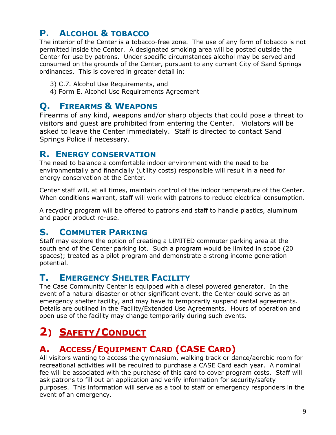## **P. ALCOHOL & TOBACCO**

The interior of the Center is a tobacco-free zone. The use of any form of tobacco is not permitted inside the Center. A designated smoking area will be posted outside the Center for use by patrons. Under specific circumstances alcohol may be served and consumed on the grounds of the Center, pursuant to any current City of Sand Springs ordinances. This is covered in greater detail in:

- 3) C.7. Alcohol Use Requirements, and
- 4) Form E. Alcohol Use Requirements Agreement

#### **Q. FIREARMS & WEAPONS**

Firearms of any kind, weapons and/or sharp objects that could pose a threat to visitors and guest are prohibited from entering the Center. Violators will be asked to leave the Center immediately. Staff is directed to contact Sand Springs Police if necessary.

#### **R. ENERGY CONSERVATION**

The need to balance a comfortable indoor environment with the need to be environmentally and financially (utility costs) responsible will result in a need for energy conservation at the Center.

Center staff will, at all times, maintain control of the indoor temperature of the Center. When conditions warrant, staff will work with patrons to reduce electrical consumption.

A recycling program will be offered to patrons and staff to handle plastics, aluminum and paper product re-use.

## **S. COMMUTER PARKING**

Staff may explore the option of creating a LIMITED commuter parking area at the south end of the Center parking lot. Such a program would be limited in scope (20 spaces); treated as a pilot program and demonstrate a strong income generation potential.

## **T. EMERGENCY SHELTER FACILITY**

The Case Community Center is equipped with a diesel powered generator. In the event of a natural disaster or other significant event, the Center could serve as an emergency shelter facility, and may have to temporarily suspend rental agreements. Details are outlined in the Facility/Extended Use Agreements. Hours of operation and open use of the facility may change temporarily during such events.

# **2) SAFETY/CONDUCT**

## **A. ACCESS/EQUIPMENT CARD (CASE CARD)**

All visitors wanting to access the gymnasium, walking track or dance/aerobic room for recreational activities will be required to purchase a CASE Card each year. A nominal fee will be associated with the purchase of this card to cover program costs. Staff will ask patrons to fill out an application and verify information for security/safety purposes. This information will serve as a tool to staff or emergency responders in the event of an emergency.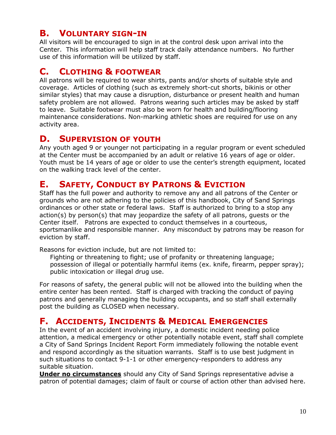## **B. VOLUNTARY SIGN-IN**

All visitors will be encouraged to sign in at the control desk upon arrival into the Center. This information will help staff track daily attendance numbers. No further use of this information will be utilized by staff.

#### **C. CLOTHING & FOOTWEAR**

All patrons will be required to wear shirts, pants and/or shorts of suitable style and coverage. Articles of clothing (such as extremely short-cut shorts, bikinis or other similar styles) that may cause a disruption, disturbance or present health and human safety problem are not allowed. Patrons wearing such articles may be asked by staff to leave. Suitable footwear must also be worn for health and building/flooring maintenance considerations. Non-marking athletic shoes are required for use on any activity area.

#### **D. SUPERVISION OF YOUTH**

Any youth aged 9 or younger not participating in a regular program or event scheduled at the Center must be accompanied by an adult or relative 16 years of age or older. Youth must be 14 years of age or older to use the center's strength equipment, located on the walking track level of the center.

## **E. SAFETY, CONDUCT BY PATRONS & EVICTION**

Staff has the full power and authority to remove any and all patrons of the Center or grounds who are not adhering to the policies of this handbook, City of Sand Springs ordinances or other state or federal laws. Staff is authorized to bring to a stop any action(s) by person(s) that may jeopardize the safety of all patrons, guests or the Center itself. Patrons are expected to conduct themselves in a courteous, sportsmanlike and responsible manner. Any misconduct by patrons may be reason for eviction by staff.

Reasons for eviction include, but are not limited to:

 Fighting or threatening to fight; use of profanity or threatening language; possession of illegal or potentially harmful items (ex. knife, firearm, pepper spray); public intoxication or illegal drug use.

For reasons of safety, the general public will not be allowed into the building when the entire center has been rented. Staff is charged with tracking the conduct of paying patrons and generally managing the building occupants, and so staff shall externally post the building as CLOSED when necessary.

#### **F. ACCIDENTS, INCIDENTS & MEDICAL EMERGENCIES**

In the event of an accident involving injury, a domestic incident needing police attention, a medical emergency or other potentially notable event, staff shall complete a City of Sand Springs Incident Report Form immediately following the notable event and respond accordingly as the situation warrants. Staff is to use best judgment in such situations to contact 9-1-1 or other emergency-responders to address any suitable situation.

**Under no circumstances** should any City of Sand Springs representative advise a patron of potential damages; claim of fault or course of action other than advised here.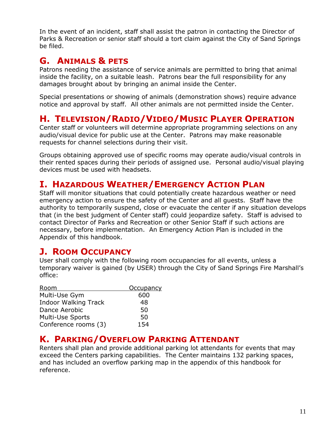In the event of an incident, staff shall assist the patron in contacting the Director of Parks & Recreation or senior staff should a tort claim against the City of Sand Springs be filed.

## **G. ANIMALS & PETS**

Patrons needing the assistance of service animals are permitted to bring that animal inside the facility, on a suitable leash. Patrons bear the full responsibility for any damages brought about by bringing an animal inside the Center.

Special presentations or showing of animals (demonstration shows) require advance notice and approval by staff. All other animals are not permitted inside the Center.

#### **H. TELEVISION/RADIO/VIDEO/MUSIC PLAYER OPERATION**

Center staff or volunteers will determine appropriate programming selections on any audio/visual device for public use at the Center. Patrons may make reasonable requests for channel selections during their visit.

Groups obtaining approved use of specific rooms may operate audio/visual controls in their rented spaces during their periods of assigned use. Personal audio/visual playing devices must be used with headsets.

## **I. HAZARDOUS WEATHER/EMERGENCY ACTION PLAN**

Staff will monitor situations that could potentially create hazardous weather or need emergency action to ensure the safety of the Center and all guests. Staff have the authority to temporarily suspend, close or evacuate the center if any situation develops that (in the best judgment of Center staff) could jeopardize safety. Staff is advised to contact Director of Parks and Recreation or other Senior Staff if such actions are necessary, before implementation. An Emergency Action Plan is included in the Appendix of this handbook.

## **J. ROOM OCCUPANCY**

User shall comply with the following room occupancies for all events, unless a temporary waiver is gained (by USER) through the City of Sand Springs Fire Marshall's office:

| Room                        | Occupancy |
|-----------------------------|-----------|
| Multi-Use Gym               | 600       |
| <b>Indoor Walking Track</b> | 48        |
| Dance Aerobic               | 50        |
| Multi-Use Sports            | 50        |
| Conference rooms (3)        | 154       |

#### **K. PARKING/OVERFLOW PARKING ATTENDANT**

Renters shall plan and provide additional parking lot attendants for events that may exceed the Centers parking capabilities. The Center maintains 132 parking spaces, and has included an overflow parking map in the appendix of this handbook for reference.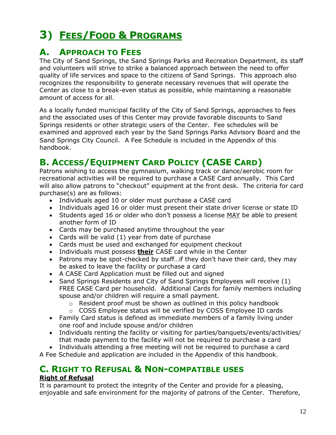# **3) FEES/FOOD & PROGRAMS**

## **A. APPROACH TO FEES**

The City of Sand Springs, the Sand Springs Parks and Recreation Department, its staff and volunteers will strive to strike a balanced approach between the need to offer quality of life services and space to the citizens of Sand Springs. This approach also recognizes the responsibility to generate necessary revenues that will operate the Center as close to a break-even status as possible, while maintaining a reasonable amount of access for all.

As a locally funded municipal facility of the City of Sand Springs, approaches to fees and the associated uses of this Center may provide favorable discounts to Sand Springs residents or other strategic users of the Center. Fee schedules will be examined and approved each year by the Sand Springs Parks Advisory Board and the Sand Springs City Council. A Fee Schedule is included in the Appendix of this handbook.

## **B. ACCESS/EQUIPMENT CARD POLICY (CASE CARD)**

Patrons wishing to access the gymnasium, walking track or dance/aerobic room for recreational activities will be required to purchase a CASE Card annually. This Card will also allow patrons to "checkout" equipment at the front desk. The criteria for card purchase(s) are as follows:

- Individuals aged 10 or older must purchase a CASE card
- Individuals aged 16 or older must present their state driver license or state ID
- Students aged 16 or older who don't possess a license MAY be able to present another form of ID
- Cards may be purchased anytime throughout the year
- Cards will be valid (1) year from date of purchase
- Cards must be used and exchanged for equipment checkout
- Individuals must possess **their** CASE card while in the Center
- Patrons may be spot-checked by staff…if they don't have their card, they may be asked to leave the facility or purchase a card
- A CASE Card Application must be filled out and signed
- Sand Springs Residents and City of Sand Springs Employees will receive (1) FREE CASE Card per household. Additional Cards for family members including spouse and/or children will require a small payment.
	- $\circ$  Resident proof must be shown as outlined in this policy handbook
	- $\circ$  COSS Employee status will be verified by COSS Employee ID cards
- Family Card status is defined as immediate members of a family living under one roof and include spouse and/or children
- Individuals renting the facility or visiting for parties/banquets/events/activities/ that made payment to the facility will not be required to purchase a card
- Individuals attending a free meeting will not be required to purchase a card

A Fee Schedule and application are included in the Appendix of this handbook.

## **C. RIGHT TO REFUSAL & NON-COMPATIBLE USES**

#### **Right of Refusal**

It is paramount to protect the integrity of the Center and provide for a pleasing, enjoyable and safe environment for the majority of patrons of the Center. Therefore,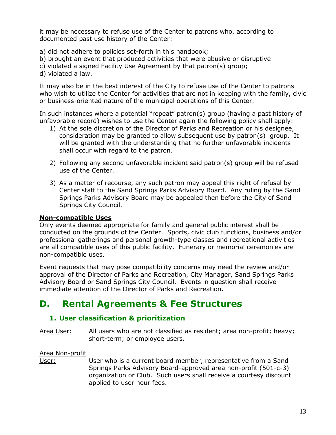it may be necessary to refuse use of the Center to patrons who, according to documented past use history of the Center:

a) did not adhere to policies set-forth in this handbook;

b) brought an event that produced activities that were abusive or disruptive

- c) violated a signed Facility Use Agreement by that patron(s) group;
- d) violated a law.

It may also be in the best interest of the City to refuse use of the Center to patrons who wish to utilize the Center for activities that are not in keeping with the family, civic or business-oriented nature of the municipal operations of this Center.

In such instances where a potential "repeat" patron(s) group (having a past history of unfavorable record) wishes to use the Center again the following policy shall apply:

- 1) At the sole discretion of the Director of Parks and Recreation or his designee, consideration may be granted to allow subsequent use by patron(s) group. It will be granted with the understanding that no further unfavorable incidents shall occur with regard to the patron.
- 2) Following any second unfavorable incident said patron(s) group will be refused use of the Center.
- 3) As a matter of recourse, any such patron may appeal this right of refusal by Center staff to the Sand Springs Parks Advisory Board. Any ruling by the Sand Springs Parks Advisory Board may be appealed then before the City of Sand Springs City Council.

#### **Non-compatible Uses**

Only events deemed appropriate for family and general public interest shall be conducted on the grounds of the Center. Sports, civic club functions, business and/or professional gatherings and personal growth-type classes and recreational activities are all compatible uses of this public facility. Funerary or memorial ceremonies are non-compatible uses.

Event requests that may pose compatibility concerns may need the review and/or approval of the Director of Parks and Recreation, City Manager, Sand Springs Parks Advisory Board or Sand Springs City Council. Events in question shall receive immediate attention of the Director of Parks and Recreation.

## **D. Rental Agreements & Fee Structures**

#### **1. User classification & prioritization**

Area User: All users who are not classified as resident; area non-profit; heavy; short-term; or employee users.

#### Area Non-profit

User: User who is a current board member, representative from a Sand Springs Parks Advisory Board-approved area non-profit (501-c-3) organization or Club. Such users shall receive a courtesy discount applied to user hour fees.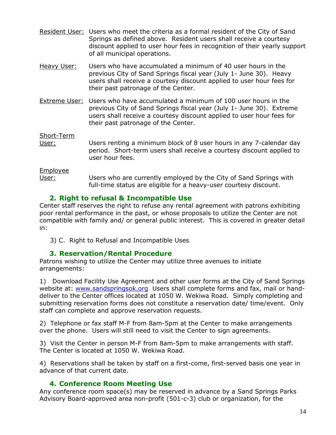- Resident User: Users who meet the criteria as a formal resident of the City of Sand Springs as defined above. Resident users shall receive a courtesy discount applied to user hour fees in recognition of their yearly support of all municipal operations.
- Heavy User: Users who have accumulated a minimum of 40 user hours in the previous City of Sand Springs fiscal year (July 1- June 30). Heavy users shall receive a courtesy discount applied to user hour fees for their past patronage of the Center.
- Extreme User: Users who have accumulated a minimum of 100 user hours in the previous City of Sand Springs fiscal year (July 1- June 30). Extreme users shall receive a courtesy discount applied to user hour fees for their past patronage of the Center.

Short-Term

User: Users renting a minimum block of 8 user hours in any 7-calendar day period. Short-term users shall receive a courtesy discount applied to user hour fees.

Employee

User: Users who are currently employed by the City of Sand Springs with full-time status are eligible for a heavy-user courtesy discount.

#### **2. Right to refusal & Incompatible Use**

Center staff reserves the right to refuse any rental agreement with patrons exhibiting poor rental performance in the past, or whose proposals to utilize the Center are not compatible with family and/ or general public interest. This is covered in greater detail in:

3) C. Right to Refusal and Incompatible Uses

#### **3. Reservation/Rental Procedure**

Patrons wishing to utilize the Center may utilize three avenues to initiate arrangements:

1) Download Facility Use Agreement and other user forms at the City of Sand Springs website at: [www.sandspringsok.org](http://www.sandspringsok.org/) Users shall complete forms and fax, mail or handdeliver to the Center offices located at 1050 W. Wekiwa Road. Simply completing and submitting reservation forms does not constitute a reservation date/ time/event. Only staff can complete and approve reservation requests.

2) Telephone or fax staff M-F from 8am-5pm at the Center to make arrangements over the phone. Users will still need to visit the Center to sign agreements.

3) Visit the Center in person M-F from 8am-5pm to make arrangements with staff. The Center is located at 1050 W. Wekiwa Road.

4) Reservations shall be taken by staff on a first-come, first-served basis one year in advance of that current date.

#### **4. Conference Room Meeting Use**

Any conference room space(s) may be reserved in advance by a Sand Springs Parks Advisory Board-approved area non-profit (501-c-3) club or organization, for the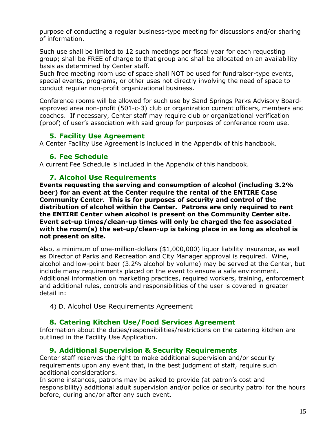purpose of conducting a regular business-type meeting for discussions and/or sharing of information.

Such use shall be limited to 12 such meetings per fiscal year for each requesting group; shall be FREE of charge to that group and shall be allocated on an availability basis as determined by Center staff.

Such free meeting room use of space shall NOT be used for fundraiser-type events, special events, programs, or other uses not directly involving the need of space to conduct regular non-profit organizational business.

Conference rooms will be allowed for such use by Sand Springs Parks Advisory Boardapproved area non-profit (501-c-3) club or organization current officers, members and coaches. If necessary, Center staff may require club or organizational verification (proof) of user's association with said group for purposes of conference room use.

#### **5. Facility Use Agreement**

A Center Facility Use Agreement is included in the Appendix of this handbook.

#### **6. Fee Schedule**

A current Fee Schedule is included in the Appendix of this handbook.

#### **7. Alcohol Use Requirements**

**Events requesting the serving and consumption of alcohol (including 3.2% beer) for an event at the Center require the rental of the ENTIRE Case Community Center. This is for purposes of security and control of the distribution of alcohol within the Center. Patrons are only required to rent the ENTIRE Center when alcohol is present on the Community Center site. Event set-up times/clean-up times will only be charged the fee associated with the room(s) the set-up/clean-up is taking place in as long as alcohol is not present on site.** 

Also, a minimum of one-million-dollars (\$1,000,000) liquor liability insurance, as well as Director of Parks and Recreation and City Manager approval is required. Wine, alcohol and low-point beer (3.2% alcohol by volume) may be served at the Center, but include many requirements placed on the event to ensure a safe environment. Additional information on marketing practices, required workers, training, enforcement and additional rules, controls and responsibilities of the user is covered in greater detail in:

4) D. Alcohol Use Requirements Agreement

#### **8. Catering Kitchen Use/Food Services Agreement**

Information about the duties/responsibilities/restrictions on the catering kitchen are outlined in the Facility Use Application.

#### **9. Additional Supervision & Security Requirements**

Center staff reserves the right to make additional supervision and/or security requirements upon any event that, in the best judgment of staff, require such additional considerations.

In some instances, patrons may be asked to provide (at patron's cost and responsibility) additional adult supervision and/or police or security patrol for the hours before, during and/or after any such event.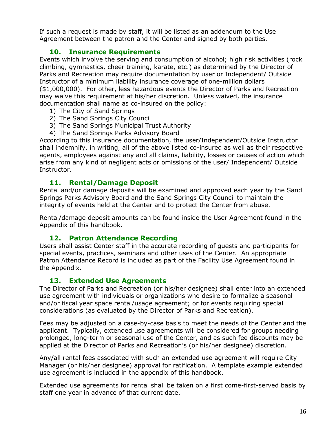If such a request is made by staff, it will be listed as an addendum to the Use Agreement between the patron and the Center and signed by both parties.

#### **10. Insurance Requirements**

Events which involve the serving and consumption of alcohol; high risk activities (rock climbing, gymnastics, cheer training, karate, etc.) as determined by the Director of Parks and Recreation may require documentation by user or Independent/ Outside Instructor of a minimum liability insurance coverage of one-million dollars (\$1,000,000). For other, less hazardous events the Director of Parks and Recreation may waive this requirement at his/her discretion. Unless waived, the insurance documentation shall name as co-insured on the policy:

- 1) The City of Sand Springs
- 2) The Sand Springs City Council
- 3) The Sand Springs Municipal Trust Authority
- 4) The Sand Springs Parks Advisory Board

According to this insurance documentation, the user/Independent/Outside Instructor shall indemnify, in writing, all of the above listed co-insured as well as their respective agents, employees against any and all claims, liability, losses or causes of action which arise from any kind of negligent acts or omissions of the user/ Independent/ Outside Instructor.

#### **11. Rental/Damage Deposit**

Rental and/or damage deposits will be examined and approved each year by the Sand Springs Parks Advisory Board and the Sand Springs City Council to maintain the integrity of events held at the Center and to protect the Center from abuse.

Rental/damage deposit amounts can be found inside the User Agreement found in the Appendix of this handbook.

#### **12. Patron Attendance Recording**

Users shall assist Center staff in the accurate recording of guests and participants for special events, practices, seminars and other uses of the Center. An appropriate Patron Attendance Record is included as part of the Facility Use Agreement found in the Appendix.

#### **13. Extended Use Agreements**

The Director of Parks and Recreation (or his/her designee) shall enter into an extended use agreement with individuals or organizations who desire to formalize a seasonal and/or fiscal year space rental/usage agreement; or for events requiring special considerations (as evaluated by the Director of Parks and Recreation).

Fees may be adjusted on a case-by-case basis to meet the needs of the Center and the applicant. Typically, extended use agreements will be considered for groups needing prolonged, long-term or seasonal use of the Center, and as such fee discounts may be applied at the Director of Parks and Recreation's (or his/her designee) discretion.

Any/all rental fees associated with such an extended use agreement will require City Manager (or his/her designee) approval for ratification. A template example extended use agreement is included in the appendix of this handbook.

Extended use agreements for rental shall be taken on a first come-first-served basis by staff one year in advance of that current date.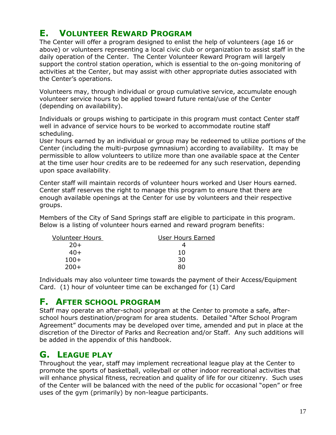## **E. VOLUNTEER REWARD PROGRAM**

The Center will offer a program designed to enlist the help of volunteers (age 16 or above) or volunteers representing a local civic club or organization to assist staff in the daily operation of the Center. The Center Volunteer Reward Program will largely support the control station operation, which is essential to the on-going monitoring of activities at the Center, but may assist with other appropriate duties associated with the Center's operations.

Volunteers may, through individual or group cumulative service, accumulate enough volunteer service hours to be applied toward future rental/use of the Center (depending on availability).

Individuals or groups wishing to participate in this program must contact Center staff well in advance of service hours to be worked to accommodate routine staff scheduling.

User hours earned by an individual or group may be redeemed to utilize portions of the Center (including the multi-purpose gymnasium) according to availability. It may be permissible to allow volunteers to utilize more than one available space at the Center at the time user hour credits are to be redeemed for any such reservation, depending upon space availability.

Center staff will maintain records of volunteer hours worked and User Hours earned. Center staff reserves the right to manage this program to ensure that there are enough available openings at the Center for use by volunteers and their respective groups.

Members of the City of Sand Springs staff are eligible to participate in this program. Below is a listing of volunteer hours earned and reward program benefits:

| <b>Volunteer Hours</b> | User Hours Earned |
|------------------------|-------------------|
| $20+$                  |                   |
| $40+$                  | 10                |
| $100+$                 | 30                |
| $200+$                 | 80                |
|                        |                   |

Individuals may also volunteer time towards the payment of their Access/Equipment Card. (1) hour of volunteer time can be exchanged for (1) Card

#### **F. AFTER SCHOOL PROGRAM**

Staff may operate an after-school program at the Center to promote a safe, afterschool hours destination/program for area students. Detailed "After School Program Agreement" documents may be developed over time, amended and put in place at the discretion of the Director of Parks and Recreation and/or Staff. Any such additions will be added in the appendix of this handbook.

#### **G. LEAGUE PLAY**

Throughout the year, staff may implement recreational league play at the Center to promote the sports of basketball, volleyball or other indoor recreational activities that will enhance physical fitness, recreation and quality of life for our citizenry. Such uses of the Center will be balanced with the need of the public for occasional "open" or free uses of the gym (primarily) by non-league participants.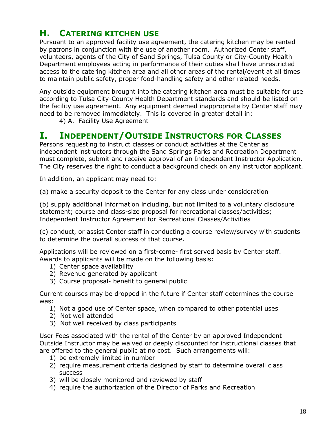## **H. CATERING KITCHEN USE**

Pursuant to an approved facility use agreement, the catering kitchen may be rented by patrons in conjunction with the use of another room. Authorized Center staff, volunteers, agents of the City of Sand Springs, Tulsa County or City-County Health Department employees acting in performance of their duties shall have unrestricted access to the catering kitchen area and all other areas of the rental/event at all times to maintain public safety, proper food-handling safety and other related needs.

Any outside equipment brought into the catering kitchen area must be suitable for use according to Tulsa City-County Health Department standards and should be listed on the facility use agreement. Any equipment deemed inappropriate by Center staff may need to be removed immediately. This is covered in greater detail in:

4) A. Facility Use Agreement

#### **I. INDEPENDENT/OUTSIDE INSTRUCTORS FOR CLASSES**

Persons requesting to instruct classes or conduct activities at the Center as independent instructors through the Sand Springs Parks and Recreation Department must complete, submit and receive approval of an Independent Instructor Application. The City reserves the right to conduct a background check on any instructor applicant.

In addition, an applicant may need to:

(a) make a security deposit to the Center for any class under consideration

(b) supply additional information including, but not limited to a voluntary disclosure statement; course and class-size proposal for recreational classes/activities; Independent Instructor Agreement for Recreational Classes/Activities

(c) conduct, or assist Center staff in conducting a course review/survey with students to determine the overall success of that course.

Applications will be reviewed on a first-come- first served basis by Center staff. Awards to applicants will be made on the following basis:

- 1) Center space availability
- 2) Revenue generated by applicant
- 3) Course proposal- benefit to general public

Current courses may be dropped in the future if Center staff determines the course was:

- 1) Not a good use of Center space, when compared to other potential uses
- 2) Not well attended
- 3) Not well received by class participants

User Fees associated with the rental of the Center by an approved Independent Outside Instructor may be waived or deeply discounted for instructional classes that are offered to the general public at no cost. Such arrangements will:

- 1) be extremely limited in number
- 2) require measurement criteria designed by staff to determine overall class success
- 3) will be closely monitored and reviewed by staff
- 4) require the authorization of the Director of Parks and Recreation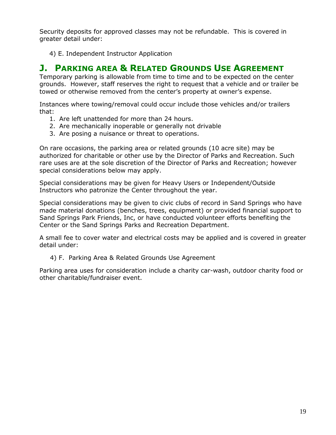Security deposits for approved classes may not be refundable. This is covered in greater detail under:

4) E. Independent Instructor Application

## **J. PARKING AREA & RELATED GROUNDS USE AGREEMENT**

Temporary parking is allowable from time to time and to be expected on the center grounds. However, staff reserves the right to request that a vehicle and or trailer be towed or otherwise removed from the center's property at owner's expense.

Instances where towing/removal could occur include those vehicles and/or trailers that:

- 1. Are left unattended for more than 24 hours.
- 2. Are mechanically inoperable or generally not drivable
- 3. Are posing a nuisance or threat to operations.

On rare occasions, the parking area or related grounds (10 acre site) may be authorized for charitable or other use by the Director of Parks and Recreation. Such rare uses are at the sole discretion of the Director of Parks and Recreation; however special considerations below may apply.

Special considerations may be given for Heavy Users or Independent/Outside Instructors who patronize the Center throughout the year.

Special considerations may be given to civic clubs of record in Sand Springs who have made material donations (benches, trees, equipment) or provided financial support to Sand Springs Park Friends, Inc, or have conducted volunteer efforts benefiting the Center or the Sand Springs Parks and Recreation Department.

A small fee to cover water and electrical costs may be applied and is covered in greater detail under:

4) F. Parking Area & Related Grounds Use Agreement

Parking area uses for consideration include a charity car-wash, outdoor charity food or other charitable/fundraiser event.